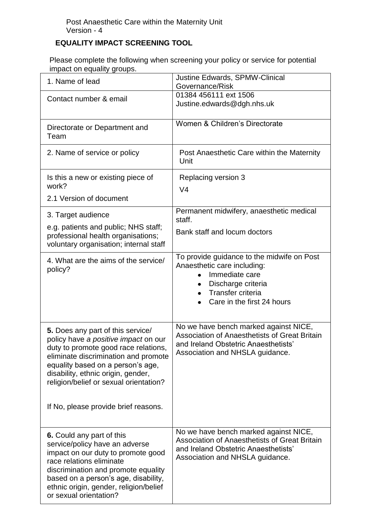## **EQUALITY IMPACT SCREENING TOOL**

Please complete the following when screening your policy or service for potential impact on equality groups.

| mpaol on oquality groups.                                                                                                                                                                                                                                                                                              |                                                                                                                                                                      |
|------------------------------------------------------------------------------------------------------------------------------------------------------------------------------------------------------------------------------------------------------------------------------------------------------------------------|----------------------------------------------------------------------------------------------------------------------------------------------------------------------|
| 1. Name of lead                                                                                                                                                                                                                                                                                                        | Justine Edwards, SPMW-Clinical<br>Governance/Risk                                                                                                                    |
| Contact number & email                                                                                                                                                                                                                                                                                                 | 01384 456111 ext 1506<br>Justine.edwards@dgh.nhs.uk                                                                                                                  |
| Directorate or Department and<br>Team                                                                                                                                                                                                                                                                                  | Women & Children's Directorate                                                                                                                                       |
| 2. Name of service or policy                                                                                                                                                                                                                                                                                           | Post Anaesthetic Care within the Maternity<br>Unit                                                                                                                   |
| Is this a new or existing piece of<br>work?                                                                                                                                                                                                                                                                            | Replacing version 3<br>V <sub>4</sub>                                                                                                                                |
| 2.1 Version of document                                                                                                                                                                                                                                                                                                |                                                                                                                                                                      |
| 3. Target audience                                                                                                                                                                                                                                                                                                     | Permanent midwifery, anaesthetic medical<br>staff.                                                                                                                   |
| e.g. patients and public; NHS staff;<br>professional health organisations;<br>voluntary organisation; internal staff                                                                                                                                                                                                   | Bank staff and locum doctors                                                                                                                                         |
| 4. What are the aims of the service/<br>policy?                                                                                                                                                                                                                                                                        | To provide guidance to the midwife on Post<br>Anaesthetic care including:<br>Immediate care<br>Discharge criteria<br>Transfer criteria<br>Care in the first 24 hours |
| 5. Does any part of this service/<br>policy have a positive impact on our<br>duty to promote good race relations,<br>eliminate discrimination and promote<br>equality based on a person's age,<br>disability, ethnic origin, gender,<br>religion/belief or sexual orientation?<br>If No, please provide brief reasons. | No we have bench marked against NICE,<br>Association of Anaesthetists of Great Britain<br>and Ireland Obstetric Anaesthetists'<br>Association and NHSLA guidance.    |
| 6. Could any part of this<br>service/policy have an adverse<br>impact on our duty to promote good<br>race relations eliminate<br>discrimination and promote equality<br>based on a person's age, disability,<br>ethnic origin, gender, religion/belief<br>or sexual orientation?                                       | No we have bench marked against NICE,<br>Association of Anaesthetists of Great Britain<br>and Ireland Obstetric Anaesthetists'<br>Association and NHSLA guidance.    |